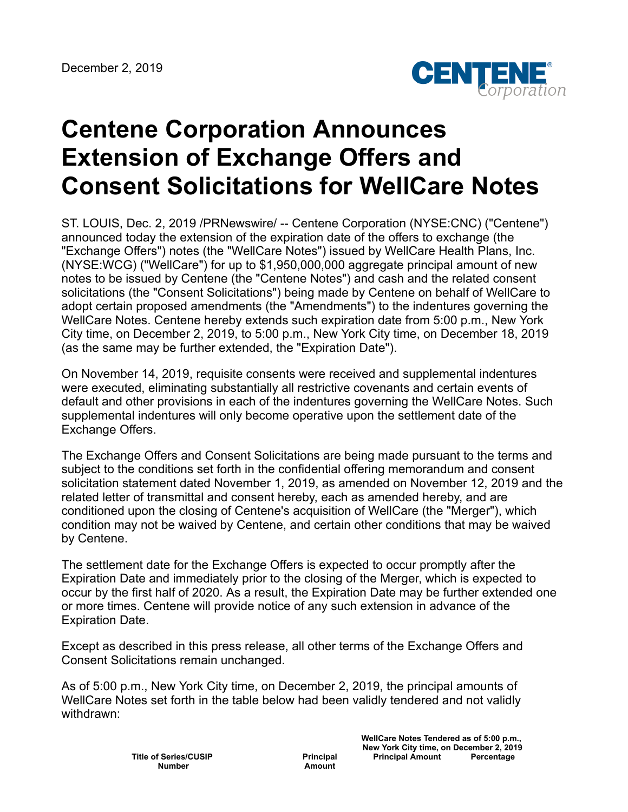

## **Centene Corporation Announces Extension of Exchange Offers and Consent Solicitations for WellCare Notes**

ST. LOUIS, Dec. 2, 2019 /PRNewswire/ -- Centene Corporation (NYSE:CNC) ("Centene") announced today the extension of the expiration date of the offers to exchange (the "Exchange Offers") notes (the "WellCare Notes") issued by WellCare Health Plans, Inc. (NYSE:WCG) ("WellCare") for up to \$1,950,000,000 aggregate principal amount of new notes to be issued by Centene (the "Centene Notes") and cash and the related consent solicitations (the "Consent Solicitations") being made by Centene on behalf of WellCare to adopt certain proposed amendments (the "Amendments") to the indentures governing the WellCare Notes. Centene hereby extends such expiration date from 5:00 p.m., New York City time, on December 2, 2019, to 5:00 p.m., New York City time, on December 18, 2019 (as the same may be further extended, the "Expiration Date").

On November 14, 2019, requisite consents were received and supplemental indentures were executed, eliminating substantially all restrictive covenants and certain events of default and other provisions in each of the indentures governing the WellCare Notes. Such supplemental indentures will only become operative upon the settlement date of the Exchange Offers.

The Exchange Offers and Consent Solicitations are being made pursuant to the terms and subject to the conditions set forth in the confidential offering memorandum and consent solicitation statement dated November 1, 2019, as amended on November 12, 2019 and the related letter of transmittal and consent hereby, each as amended hereby, and are conditioned upon the closing of Centene's acquisition of WellCare (the "Merger"), which condition may not be waived by Centene, and certain other conditions that may be waived by Centene.

The settlement date for the Exchange Offers is expected to occur promptly after the Expiration Date and immediately prior to the closing of the Merger, which is expected to occur by the first half of 2020. As a result, the Expiration Date may be further extended one or more times. Centene will provide notice of any such extension in advance of the Expiration Date.

Except as described in this press release, all other terms of the Exchange Offers and Consent Solicitations remain unchanged.

As of 5:00 p.m., New York City time, on December 2, 2019, the principal amounts of WellCare Notes set forth in the table below had been validly tendered and not validly withdrawn: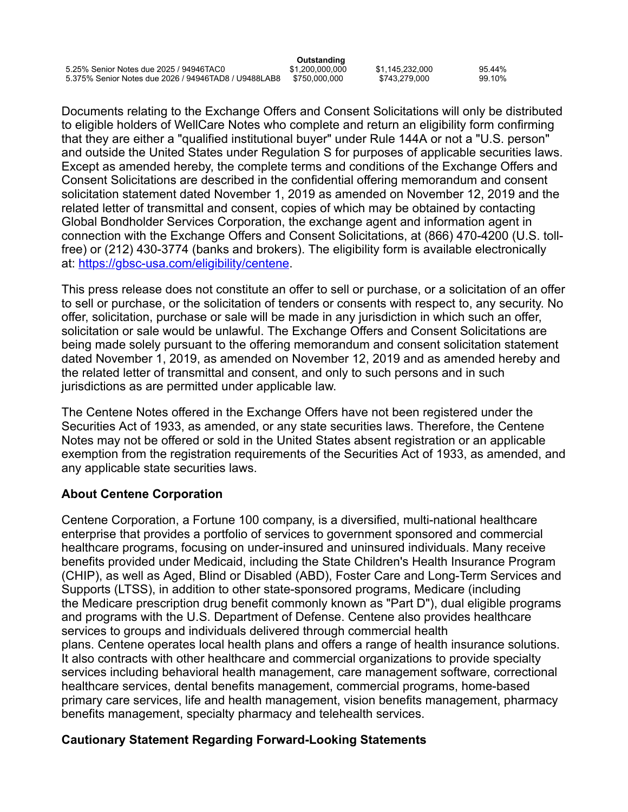Documents relating to the Exchange Offers and Consent Solicitations will only be distributed to eligible holders of WellCare Notes who complete and return an eligibility form confirming that they are either a "qualified institutional buyer" under Rule 144A or not a "U.S. person" and outside the United States under Regulation S for purposes of applicable securities laws. Except as amended hereby, the complete terms and conditions of the Exchange Offers and Consent Solicitations are described in the confidential offering memorandum and consent solicitation statement dated November 1, 2019 as amended on November 12, 2019 and the related letter of transmittal and consent, copies of which may be obtained by contacting Global Bondholder Services Corporation, the exchange agent and information agent in connection with the Exchange Offers and Consent Solicitations, at (866) 470-4200 (U.S. tollfree) or (212) 430-3774 (banks and brokers). The eligibility form is available electronically at:<https://gbsc-usa.com/eligibility/centene>.

This press release does not constitute an offer to sell or purchase, or a solicitation of an offer to sell or purchase, or the solicitation of tenders or consents with respect to, any security. No offer, solicitation, purchase or sale will be made in any jurisdiction in which such an offer, solicitation or sale would be unlawful. The Exchange Offers and Consent Solicitations are being made solely pursuant to the offering memorandum and consent solicitation statement dated November 1, 2019, as amended on November 12, 2019 and as amended hereby and the related letter of transmittal and consent, and only to such persons and in such jurisdictions as are permitted under applicable law.

The Centene Notes offered in the Exchange Offers have not been registered under the Securities Act of 1933, as amended, or any state securities laws. Therefore, the Centene Notes may not be offered or sold in the United States absent registration or an applicable exemption from the registration requirements of the Securities Act of 1933, as amended, and any applicable state securities laws.

## **About Centene Corporation**

Centene Corporation, a Fortune 100 company, is a diversified, multi-national healthcare enterprise that provides a portfolio of services to government sponsored and commercial healthcare programs, focusing on under-insured and uninsured individuals. Many receive benefits provided under Medicaid, including the State Children's Health Insurance Program (CHIP), as well as Aged, Blind or Disabled (ABD), Foster Care and Long-Term Services and Supports (LTSS), in addition to other state-sponsored programs, Medicare (including the Medicare prescription drug benefit commonly known as "Part D"), dual eligible programs and programs with the U.S. Department of Defense. Centene also provides healthcare services to groups and individuals delivered through commercial health plans. Centene operates local health plans and offers a range of health insurance solutions. It also contracts with other healthcare and commercial organizations to provide specialty services including behavioral health management, care management software, correctional healthcare services, dental benefits management, commercial programs, home-based primary care services, life and health management, vision benefits management, pharmacy benefits management, specialty pharmacy and telehealth services.

## **Cautionary Statement Regarding Forward-Looking Statements**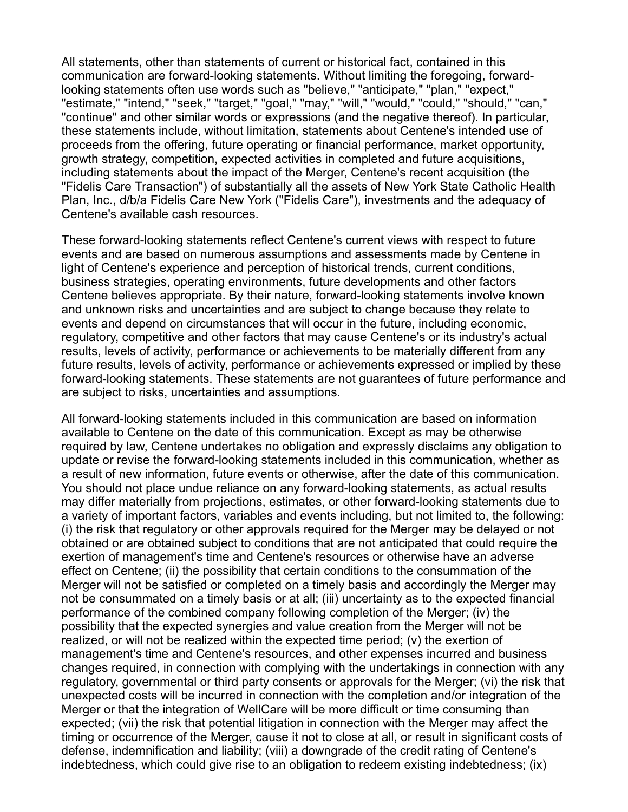All statements, other than statements of current or historical fact, contained in this communication are forward-looking statements. Without limiting the foregoing, forwardlooking statements often use words such as "believe," "anticipate," "plan," "expect," "estimate," "intend," "seek," "target," "goal," "may," "will," "would," "could," "should," "can," "continue" and other similar words or expressions (and the negative thereof). In particular, these statements include, without limitation, statements about Centene's intended use of proceeds from the offering, future operating or financial performance, market opportunity, growth strategy, competition, expected activities in completed and future acquisitions, including statements about the impact of the Merger, Centene's recent acquisition (the "Fidelis Care Transaction") of substantially all the assets of New York State Catholic Health Plan, Inc., d/b/a Fidelis Care New York ("Fidelis Care"), investments and the adequacy of Centene's available cash resources.

These forward-looking statements reflect Centene's current views with respect to future events and are based on numerous assumptions and assessments made by Centene in light of Centene's experience and perception of historical trends, current conditions, business strategies, operating environments, future developments and other factors Centene believes appropriate. By their nature, forward-looking statements involve known and unknown risks and uncertainties and are subject to change because they relate to events and depend on circumstances that will occur in the future, including economic, regulatory, competitive and other factors that may cause Centene's or its industry's actual results, levels of activity, performance or achievements to be materially different from any future results, levels of activity, performance or achievements expressed or implied by these forward-looking statements. These statements are not guarantees of future performance and are subject to risks, uncertainties and assumptions.

All forward-looking statements included in this communication are based on information available to Centene on the date of this communication. Except as may be otherwise required by law, Centene undertakes no obligation and expressly disclaims any obligation to update or revise the forward-looking statements included in this communication, whether as a result of new information, future events or otherwise, after the date of this communication. You should not place undue reliance on any forward-looking statements, as actual results may differ materially from projections, estimates, or other forward-looking statements due to a variety of important factors, variables and events including, but not limited to, the following: (i) the risk that regulatory or other approvals required for the Merger may be delayed or not obtained or are obtained subject to conditions that are not anticipated that could require the exertion of management's time and Centene's resources or otherwise have an adverse effect on Centene; (ii) the possibility that certain conditions to the consummation of the Merger will not be satisfied or completed on a timely basis and accordingly the Merger may not be consummated on a timely basis or at all; (iii) uncertainty as to the expected financial performance of the combined company following completion of the Merger; (iv) the possibility that the expected synergies and value creation from the Merger will not be realized, or will not be realized within the expected time period; (v) the exertion of management's time and Centene's resources, and other expenses incurred and business changes required, in connection with complying with the undertakings in connection with any regulatory, governmental or third party consents or approvals for the Merger; (vi) the risk that unexpected costs will be incurred in connection with the completion and/or integration of the Merger or that the integration of WellCare will be more difficult or time consuming than expected; (vii) the risk that potential litigation in connection with the Merger may affect the timing or occurrence of the Merger, cause it not to close at all, or result in significant costs of defense, indemnification and liability; (viii) a downgrade of the credit rating of Centene's indebtedness, which could give rise to an obligation to redeem existing indebtedness; (ix)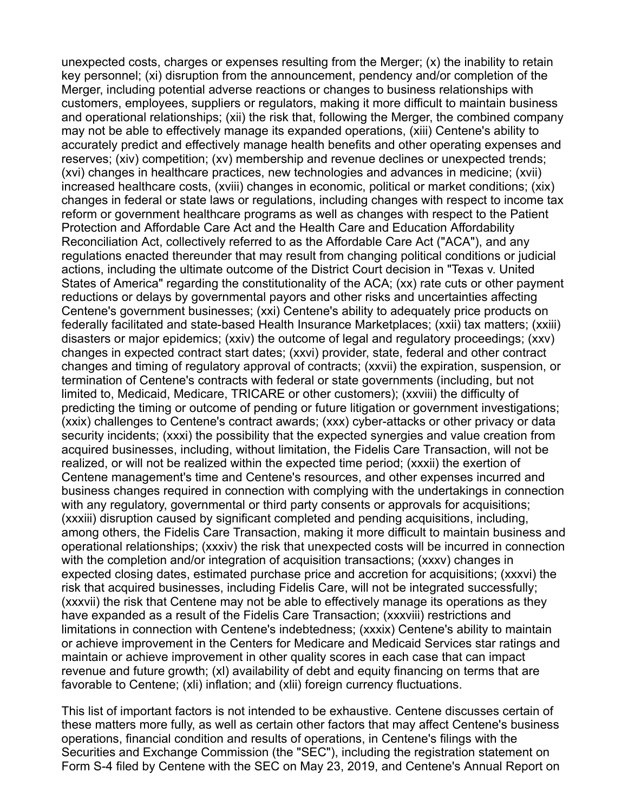unexpected costs, charges or expenses resulting from the Merger; (x) the inability to retain key personnel; (xi) disruption from the announcement, pendency and/or completion of the Merger, including potential adverse reactions or changes to business relationships with customers, employees, suppliers or regulators, making it more difficult to maintain business and operational relationships; (xii) the risk that, following the Merger, the combined company may not be able to effectively manage its expanded operations, (xiii) Centene's ability to accurately predict and effectively manage health benefits and other operating expenses and reserves; (xiv) competition; (xv) membership and revenue declines or unexpected trends; (xvi) changes in healthcare practices, new technologies and advances in medicine; (xvii) increased healthcare costs, (xviii) changes in economic, political or market conditions; (xix) changes in federal or state laws or regulations, including changes with respect to income tax reform or government healthcare programs as well as changes with respect to the Patient Protection and Affordable Care Act and the Health Care and Education Affordability Reconciliation Act, collectively referred to as the Affordable Care Act ("ACA"), and any regulations enacted thereunder that may result from changing political conditions or judicial actions, including the ultimate outcome of the District Court decision in "Texas v. United States of America" regarding the constitutionality of the ACA; (xx) rate cuts or other payment reductions or delays by governmental payors and other risks and uncertainties affecting Centene's government businesses; (xxi) Centene's ability to adequately price products on federally facilitated and state-based Health Insurance Marketplaces; (xxii) tax matters; (xxiii) disasters or major epidemics; (xxiv) the outcome of legal and regulatory proceedings; (xxv) changes in expected contract start dates; (xxvi) provider, state, federal and other contract changes and timing of regulatory approval of contracts; (xxvii) the expiration, suspension, or termination of Centene's contracts with federal or state governments (including, but not limited to, Medicaid, Medicare, TRICARE or other customers); (xxviii) the difficulty of predicting the timing or outcome of pending or future litigation or government investigations; (xxix) challenges to Centene's contract awards; (xxx) cyber-attacks or other privacy or data security incidents; (xxxi) the possibility that the expected synergies and value creation from acquired businesses, including, without limitation, the Fidelis Care Transaction, will not be realized, or will not be realized within the expected time period; (xxxii) the exertion of Centene management's time and Centene's resources, and other expenses incurred and business changes required in connection with complying with the undertakings in connection with any regulatory, governmental or third party consents or approvals for acquisitions; (xxxiii) disruption caused by significant completed and pending acquisitions, including, among others, the Fidelis Care Transaction, making it more difficult to maintain business and operational relationships; (xxxiv) the risk that unexpected costs will be incurred in connection with the completion and/or integration of acquisition transactions; (xxxv) changes in expected closing dates, estimated purchase price and accretion for acquisitions; (xxxvi) the risk that acquired businesses, including Fidelis Care, will not be integrated successfully; (xxxvii) the risk that Centene may not be able to effectively manage its operations as they have expanded as a result of the Fidelis Care Transaction; (xxxviii) restrictions and limitations in connection with Centene's indebtedness; (xxxix) Centene's ability to maintain or achieve improvement in the Centers for Medicare and Medicaid Services star ratings and maintain or achieve improvement in other quality scores in each case that can impact revenue and future growth; (xl) availability of debt and equity financing on terms that are favorable to Centene; (xli) inflation; and (xlii) foreign currency fluctuations.

This list of important factors is not intended to be exhaustive. Centene discusses certain of these matters more fully, as well as certain other factors that may affect Centene's business operations, financial condition and results of operations, in Centene's filings with the Securities and Exchange Commission (the "SEC"), including the registration statement on Form S-4 filed by Centene with the SEC on May 23, 2019, and Centene's Annual Report on